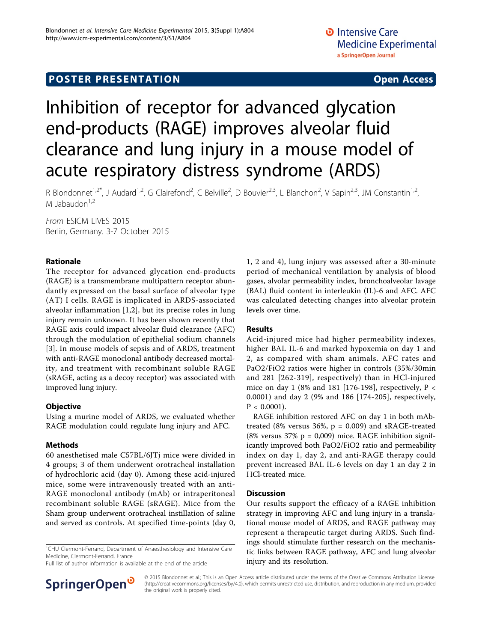# **POSTER PRESENTATION CONSUMING ACCESS**

# Inhibition of receptor for advanced glycation end-products (RAGE) improves alveolar fluid clearance and lung injury in a mouse model of acute respiratory distress syndrome (ARDS)

R Blondonnet<sup>1,2\*</sup>, J Audard<sup>1,2</sup>, G Clairefond<sup>2</sup>, C Belville<sup>2</sup>, D Bouvier<sup>2,3</sup>, L Blanchon<sup>2</sup>, V Sapin<sup>2,3</sup>, JM Constantin<sup>1,2</sup>, M Jabaudon $1,2$ 

From ESICM LIVES 2015 Berlin, Germany. 3-7 October 2015

## Rationale

The receptor for advanced glycation end-products (RAGE) is a transmembrane multipattern receptor abundantly expressed on the basal surface of alveolar type (AT) I cells. RAGE is implicated in ARDS-associated alveolar inflammation [1,2], but its precise roles in lung injury remain unknown. It has been shown recently that RAGE axis could impact alveolar fluid clearance (AFC) through the modulation of epithelial sodium channels [[3](#page-1-0)]. In mouse models of sepsis and of ARDS, treatment with anti-RAGE monoclonal antibody decreased mortality, and treatment with recombinant soluble RAGE (sRAGE, acting as a decoy receptor) was associated with improved lung injury.

# **Objective**

Using a murine model of ARDS, we evaluated whether RAGE modulation could regulate lung injury and AFC.

### Methods

60 anesthetised male C57BL/6JTj mice were divided in 4 groups; 3 of them underwent orotracheal installation of hydrochloric acid (day 0). Among these acid-injured mice, some were intravenously treated with an anti-RAGE monoclonal antibody (mAb) or intraperitoneal recombinant soluble RAGE (sRAGE). Mice from the Sham group underwent orotracheal instillation of saline and served as controls. At specified time-points (day 0,

<sup>1</sup>CHU Clermont-Ferrand, Department of Anaesthesiology and Intensive Care Medicine, Clermont-Ferrand, France

Full list of author information is available at the end of the article



### Results

Acid-injured mice had higher permeability indexes, higher BAL IL-6 and marked hypoxemia on day 1 and 2, as compared with sham animals. AFC rates and PaO2/FiO2 ratios were higher in controls (35%/30min and 281 [262-319], respectively) than in HCl-injured mice on day 1 (8% and 181 [176-198], respectively, P < 0.0001) and day 2 (9% and 186 [174-205], respectively,  $P < 0.0001$ ).

RAGE inhibition restored AFC on day 1 in both mAbtreated (8% versus 36%,  $p = 0.009$ ) and sRAGE-treated (8% versus 37%  $p = 0,009$ ) mice. RAGE inhibition significantly improved both PaO2/FiO2 ratio and permeability index on day 1, day 2, and anti-RAGE therapy could prevent increased BAL IL-6 levels on day 1 an day 2 in HCl-treated mice.

### **Discussion**

Our results support the efficacy of a RAGE inhibition strategy in improving AFC and lung injury in a translational mouse model of ARDS, and RAGE pathway may represent a therapeutic target during ARDS. Such findings should stimulate further research on the mechanistic links between RAGE pathway, AFC and lung alveolar injury and its resolution.



© 2015 Blondonnet et al.; This is an Open Access article distributed under the terms of the Creative Commons Attribution License [\(http://creativecommons.org/licenses/by/4.0](http://creativecommons.org/licenses/by/4.0)), which permits unrestricted use, distribution, and reproduction in any medium, provided the original work is properly cited.